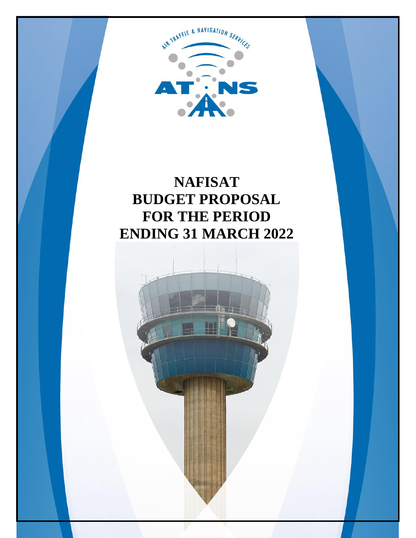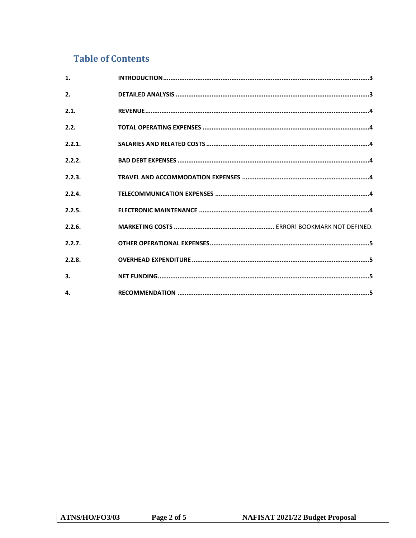# **Table of Contents**

| $\mathbf{1}$ . |  |
|----------------|--|
| 2.             |  |
| 2.1.           |  |
| 2.2.           |  |
| 2.2.1.         |  |
| 2.2.2.         |  |
| 2.2.3.         |  |
| 2.2.4.         |  |
| 2.2.5.         |  |
| 2.2.6.         |  |
| 2.2.7.         |  |
| 2.2.8.         |  |
| 3.             |  |
| 4.             |  |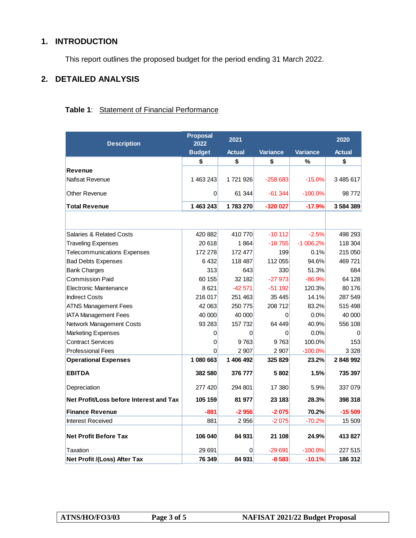# <span id="page-2-0"></span>**1. INTRODUCTION**

This report outlines the proposed budget for the period ending 31 March 2022.

# <span id="page-2-1"></span>**2. DETAILED ANALYSIS**

| <b>Description</b>                      | <b>Proposal</b><br>2022 | 2021          |                 |                 | 2020          |
|-----------------------------------------|-------------------------|---------------|-----------------|-----------------|---------------|
|                                         | <b>Budget</b>           | <b>Actual</b> | <b>Variance</b> | <b>Variance</b> | <b>Actual</b> |
|                                         | \$                      | \$            | \$              | $\frac{9}{6}$   | \$            |
| Revenue                                 |                         |               |                 |                 |               |
| <b>Nafisat Revenue</b>                  | 1463243                 | 1721926       | $-258683$       | $-15.0%$        | 3485617       |
| <b>Other Revenue</b>                    | 0                       | 61 344        | $-61344$        | $-100.0\%$      | 98772         |
| <b>Total Revenue</b>                    | 1 463 243               | 1783270       | $-320027$       | $-17.9%$        | 3584389       |
|                                         |                         |               |                 |                 |               |
| <b>Salaries &amp; Related Costs</b>     | 420 882                 | 410770        | $-10112$        | $-2.5%$         | 498 293       |
| <b>Traveling Expenses</b>               | 20 618                  | 1864          | $-18755$        | $-1006.2%$      | 118 304       |
| <b>Telecommunications Expenses</b>      | 172 278                 | 172 477       | 199             | 0.1%            | 215 050       |
| <b>Bad Debts Expenses</b>               | 6432                    | 118 487       | 112 055         | 94.6%           | 469721        |
| <b>Bank Charges</b>                     | 313                     | 643           | 330             | 51.3%           | 684           |
| <b>Commission Paid</b>                  | 60 155                  | 32 182        | $-27973$        | $-86.9%$        | 64 128        |
| Electronic Maintenance                  | 8621                    | $-42571$      | $-51192$        | 120.3%          | 80 176        |
| <b>Indirect Costs</b>                   | 216 017                 | 251 463       | 35 445          | 14.1%           | 287 549       |
| <b>ATNS Management Fees</b>             | 42 063                  | 250 775       | 208 712         | 83.2%           | 515 498       |
| <b>IATA Management Fees</b>             | 40 000                  | 40 000        | 0               | 0.0%            | 40 000        |
| Network Management Costs                | 93 283                  | 157 732       | 64 449          | 40.9%           | 556 108       |
| <b>Marketing Expenses</b>               | 0                       | $\Omega$      | 0               | 0.0%            |               |
| <b>Contract Services</b>                | 0                       | 9763          | 9763            | 100.0%          | 153           |
| <b>Professional Fees</b>                | 0                       | 2 9 0 7       | 2 9 0 7         | $-100.0%$       | 3 3 2 8       |
| <b>Operational Expenses</b>             | 1 080 663               | 1 406 492     | 325 829         | 23.2%           | 2848992       |
| <b>EBITDA</b>                           | 382 580                 | 376 777       | 5802            | 1.5%            | 735 397       |
| Depreciation                            | 277 420                 | 294 801       | 17 380          | 5.9%            | 337 079       |
| Net Profit/Loss before Interest and Tax | 105 159                 | 81 977        | 23 183          | 28.3%           | 398 318       |
| <b>Finance Revenue</b>                  | -881                    | $-2956$       | $-2075$         | 70.2%           | $-15509$      |
| <b>Interest Received</b>                | 881                     | 2956          | $-2075$         | $-70.2%$        | 15 509        |
| <b>Net Profit Before Tax</b>            | 106 040                 | 84 931        | 21 108          | 24.9%           | 413827        |
| Taxation                                | 29 691                  | 0             | $-29691$        | $-100.0%$       | 227 515       |
| Net Profit /(Loss) After Tax            | 76 349                  | 84 931        | $-8583$         | $-10.1%$        | 186 312       |

## **Table 1**: Statement of Financial Performance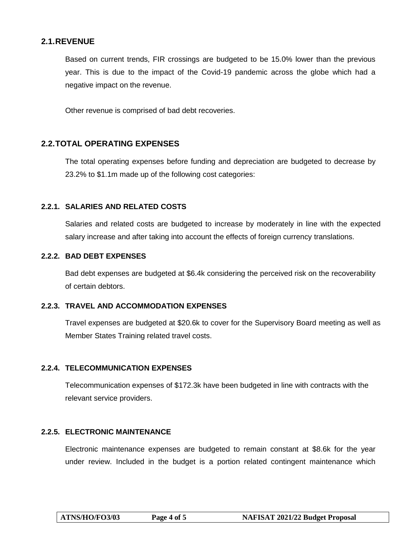## <span id="page-3-0"></span>**2.1.REVENUE**

Based on current trends, FIR crossings are budgeted to be 15.0% lower than the previous year. This is due to the impact of the Covid-19 pandemic across the globe which had a negative impact on the revenue.

Other revenue is comprised of bad debt recoveries.

### <span id="page-3-1"></span>**2.2.TOTAL OPERATING EXPENSES**

The total operating expenses before funding and depreciation are budgeted to decrease by 23.2% to \$1.1m made up of the following cost categories:

#### <span id="page-3-2"></span>**2.2.1. SALARIES AND RELATED COSTS**

Salaries and related costs are budgeted to increase by moderately in line with the expected salary increase and after taking into account the effects of foreign currency translations.

#### <span id="page-3-3"></span>**2.2.2. BAD DEBT EXPENSES**

Bad debt expenses are budgeted at \$6.4k considering the perceived risk on the recoverability of certain debtors.

#### <span id="page-3-4"></span>**2.2.3. TRAVEL AND ACCOMMODATION EXPENSES**

Travel expenses are budgeted at \$20.6k to cover for the Supervisory Board meeting as well as Member States Training related travel costs.

#### <span id="page-3-5"></span>**2.2.4. TELECOMMUNICATION EXPENSES**

Telecommunication expenses of \$172.3k have been budgeted in line with contracts with the relevant service providers.

#### <span id="page-3-6"></span>**2.2.5. ELECTRONIC MAINTENANCE**

Electronic maintenance expenses are budgeted to remain constant at \$8.6k for the year under review. Included in the budget is a portion related contingent maintenance which